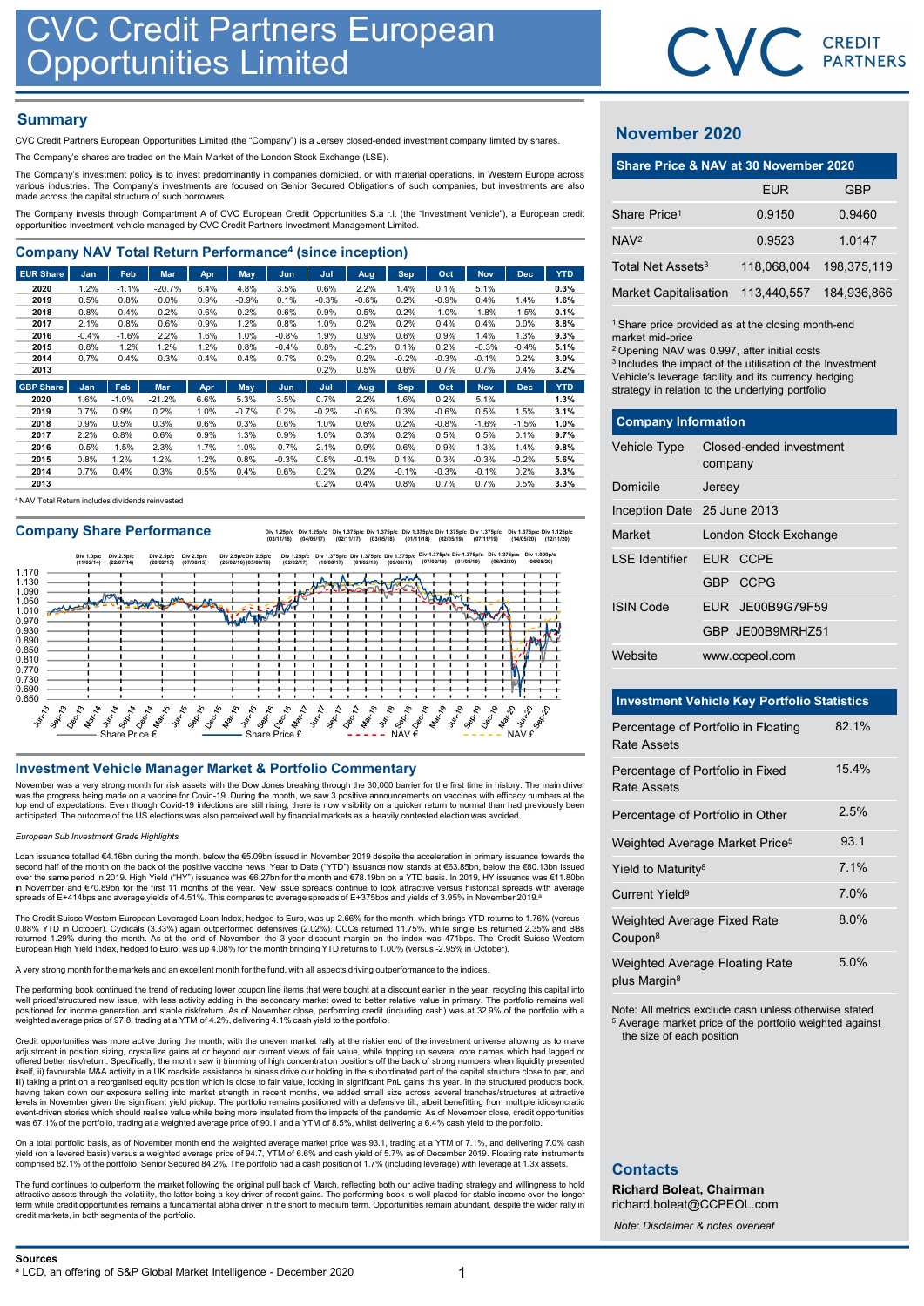# **Summary**

| <b>CVC Credit Partners European</b>                                                                                                                                                                                                     |                 |                 |              |              |              |                 |              |              |                    |              |                    |                    |                    |                                                                                                         |             |              |
|-----------------------------------------------------------------------------------------------------------------------------------------------------------------------------------------------------------------------------------------|-----------------|-----------------|--------------|--------------|--------------|-----------------|--------------|--------------|--------------------|--------------|--------------------|--------------------|--------------------|---------------------------------------------------------------------------------------------------------|-------------|--------------|
| <b>Opportunities Limited</b>                                                                                                                                                                                                            |                 |                 |              |              |              |                 |              |              |                    |              |                    |                    |                    |                                                                                                         | CVC.        | CR<br>PAI    |
| <b>Summary</b>                                                                                                                                                                                                                          |                 |                 |              |              |              |                 |              |              |                    |              |                    |                    |                    | <b>November 2020</b>                                                                                    |             |              |
| CVC Credit Partners European Opportunities Limited (the "Company") is a Jersey closed-ended investment company limited by shares.                                                                                                       |                 |                 |              |              |              |                 |              |              |                    |              |                    |                    |                    |                                                                                                         |             |              |
| The Company's shares are traded on the Main Market of the London Stock Exchange (LSE).<br>The Company's investment policy is to invest predominantly in companies domiciled, or with material operations, in Western Europe across      |                 |                 |              |              |              |                 |              |              |                    |              |                    |                    |                    | Share Price & NAV at 30 November 202                                                                    |             |              |
| various industries. The Company's investments are focused on Senior Secured Obligations of such companies, but investments are also<br>made across the capital structure of such borrowers.                                             |                 |                 |              |              |              |                 |              |              |                    |              |                    |                    |                    |                                                                                                         | <b>EUR</b>  |              |
| The Company invests through Compartment A of CVC European Credit Opportunities S.à r.l. (the "Investment Vehicle"), a European credit<br>opportunities investment vehicle managed by CVC Credit Partners Investment Management Limited. |                 |                 |              |              |              |                 |              |              |                    |              |                    |                    |                    | Share Price <sup>1</sup>                                                                                | 0.9150      | 0            |
| <b>Company NAV Total Return Performance<sup>4</sup> (since inception)</b>                                                                                                                                                               |                 |                 |              |              |              |                 |              |              |                    |              |                    |                    |                    | NAV <sup>2</sup>                                                                                        | 0.9523      | $\mathbf{1}$ |
| <b>EUR Share</b>                                                                                                                                                                                                                        | Jan             | Feb             | Mar          | Apr          | <b>May</b>   | Jun             | Jul          | Aug          | <b>Sep</b>         | Oct          | <b>Nov</b>         | <b>Dec</b>         | <b>YTD</b>         | Total Net Assets <sup>3</sup>                                                                           | 118,068,004 | 198,         |
| 2020                                                                                                                                                                                                                                    | 1.2%            | $-1.1%$         | $-20.7%$     | 6.4%         | 4.8%         | 3.5%            | 0.6%         | 2.2%         | 1.4%               | 0.1%         | 5.1%               |                    | 0.3%               | <b>Market Capitalisation</b>                                                                            | 113,440,557 | 184,         |
| 2019                                                                                                                                                                                                                                    | 0.5%            | 0.8%            | 0.0%         | 0.9%         | $-0.9%$      | 0.1%            | $-0.3%$      | $-0.6%$      | 0.2%               | $-0.9%$      | 0.4%               | 1.4%               | 1.6%               |                                                                                                         |             |              |
| 2018                                                                                                                                                                                                                                    | 0.8%            | 0.4%            | 0.2%         | 0.6%         | 0.2%         | 0.6%            | 0.9%         | 0.5%         | 0.2%               | $-1.0%$      | $-1.8%$            | $-1.5%$            | 0.1%               |                                                                                                         |             |              |
| 2017<br>2016                                                                                                                                                                                                                            | 2.1%<br>$-0.4%$ | 0.8%<br>$-1.6%$ | 0.6%<br>2.2% | 0.9%<br>1.6% | 1.2%<br>1.0% | 0.8%<br>$-0.8%$ | 1.0%<br>1.9% | 0.2%<br>0.9% | 0.2%<br>0.6%       | 0.4%<br>0.9% | 0.4%<br>1.4%       | $0.0\%$<br>1.3%    | 8.8%<br>9.3%       | <sup>1</sup> Share price provided as at the closing month-en                                            |             |              |
| 2015                                                                                                                                                                                                                                    | 0.8%            | 1.2%            | 1.2%         | 1.2%         | 0.8%         | $-0.4%$         | 0.8%         | $-0.2%$      | 0.1%               | 0.2%         | $-0.3%$            | $-0.4%$            | 5.1%               | market mid-price<br><sup>2</sup> Opening NAV was 0.997, after initial costs                             |             |              |
| 2014                                                                                                                                                                                                                                    | 0.7%            | 0.4%            | 0.3%         | 0.4%         | 0.4%         | 0.7%            | 0.2%         | 0.2%         | $-0.2%$            | $-0.3%$      | $-0.1%$            | 0.2%               | 3.0%               | <sup>3</sup> Includes the impact of the utilisation of the Inves                                        |             |              |
| 2013<br><b>GBP Share</b>                                                                                                                                                                                                                | Jan             | Feb             | <b>Mar</b>   | Apr          | May          | Jun             | 0.2%<br>Jul  | 0.5%<br>Aug  | 0.6%<br><b>Sep</b> | 0.7%<br>Oct  | 0.7%<br><b>Nov</b> | 0.4%<br><b>Dec</b> | 3.2%<br><b>YTD</b> | Vehicle's leverage facility and its currency hedgin<br>strategy in relation to the underlying portfolio |             |              |

| 2020 | 1.6%    | $-1.0%$ | $-21.2%$ | 6.6%    | 5.3%    | 3.5%    | 0.7%    | 2.2%    | .6%     | 0.2%    | 5.1%    |         | 1.3% |
|------|---------|---------|----------|---------|---------|---------|---------|---------|---------|---------|---------|---------|------|
| 2019 | 0.7%    | 0.9%    | 0.2%     | 1.0%    | $-0.7%$ | 0.2%    | $-0.2%$ | $-0.6%$ | 0.3%    | $-0.6%$ | 0.5%    | .5%     | 3.1% |
| 2018 | 0.9%    | 0.5%    | 0.3%     | 0.6%    | 0.3%    | 0.6%    | 1.0%    | 0.6%    | 0.2%    | $-0.8%$ | $-1.6%$ | $-1.5%$ | 1.0% |
| 2017 | 2.2%    | 0.8%    | 0.6%     | $0.9\%$ | 1.3%    | 0.9%    | 1.0%    | 0.3%    | 0.2%    | 0.5%    | 0.5%    | 0.1%    | 9.7% |
| 2016 | $-0.5%$ | $-1.5%$ | 2.3%     | $.7\%$  | $.0\%$  | $-0.7%$ | 2.1%    | 0.9%    | 0.6%    | 0.9%    | 1.3%    | 1.4%    | 9.8% |
| 2015 | 0.8%    | 1.2%    | 1.2%     | $.2\%$  | 0.8%    | $-0.3%$ | 0.8%    | $-0.1%$ | 0.1%    | 0.3%    | $-0.3%$ | $-0.2%$ | 5.6% |
| 2014 | 0.7%    | 0.4%    | 0.3%     | 0.5%    | 0.4%    | 0.6%    | 0.2%    | 0.2%    | $-0.1%$ | $-0.3%$ | $-0.1%$ | 0.2%    | 3.3% |
| 2013 |         |         |          |         |         |         | 0.2%    | 0.4%    | 0.8%    | 0.7%    | 0.7%    | 0.5%    | 3.3% |

<sup>4</sup>NAV Total Return includes dividends reinvested

Company Share Performance **by 1.25pc** Div 1.25pc Div 1.275pc Div 1.375pc Div 1.375pc Div 1.375pc Div 1.375pc Div 1.375pc Div 1.375pc Div 1.375pc Div 1.375pc Div 1.375pc Div 1.375pc Div 1.375pc Div 1.375pc Div 1.1225pc Div



November was a very strong month for risk assets with the Dow Jones breaking through the 30,000 barrier for the first time in history. The main driver was the progress being made on a vaccine for Covid-19. During the month, we saw 3 positive announcements on vaccines with efficacy numbers at the<br>top end of expectations. Even though Covid-19 infections are still rising, t anticipated. The outcome of the US elections was also perceived well by financial markets as a heavily contested election was avoided.

### European Sub Investment Grade Highlights

Loan issuance totalled €4.16bn during the month, below the €5.09bn issued in November 2019 despite the acceleration in primary issuance towards the<br>second half of the month on the back of the positive vaccine news. Year t over the same period in 2019. High Yield ("HY") issuance was €6.27bn for the month and €78.19bn on a YTD basis. In 2019, HY issuance was €11.80bn<br>in November and €70.89bn for the first 11 months of the year. New issue spr in November and €70.89bn for the first 11 months of the year. New issue spreads continue to look attractive versus historical spreads with average with average with average with average with average with average with aver spreads of E+414bps and average yields of 4.51%. This compares to average spreads of E+375bps and yields of 3.95% in November 2019.

The Credit Suisse Western European Leveraged Loan Index, hedged to Euro, was up 2.66% for the month, which brings YTD returns to 1.76% (versus -<br>0.88% YTD in October). Cyclicals (3.33%) again outperformed defensives (2.02% returned 1.29% during the month. As at the end of November, the 3-year discount margin on the index was 471bps. The Credit Suisse Western<br>European High Yield Index, hedged to Euro, was up 4.08% for the month bringing YTD r

A very strong month for the markets and an excellent month for the fund, with all aspects driving outperformance to the indices.

The performing book continued the trend of reducing lower coupon line items that were bought at a discount earlier in the year, recycling this capital into well priced/structured new issue, with less activity adding in the secondary market owed to better relative value in primary. The portfolio remains well<br>positioned for income generation and stable risk/return. As of Novemb

Credit opportunities was more active during the month, with the uneven market rally at the riskier end of the investment universe allowing us to make adjustment in position sizing, crystallize gains at or beyond our current views of fair value, while topping up several core names which had lagged or<br>offered better risk/return. Specifically, the month saw i) trimming of iii) taking a print on a reorganised equity position which is close to fair value, locking in significant PnL gains this year. In the structured products book,<br>having taken down our exposure selling into market strength in levels in November given the significant yield pickup. The portfolio remains positioned with a defensive tilt, albeit benefitting from multiple idiosyncratic<br>event-driven stories which should realise value while being more event-driven stories which should realise value while being more insulated from the impacts of the pandemic. As of November close, credit opportunities<br>was 67.1% of the portfolio, trading at a weighted average price of 90. assession of the number and the state of the state of the state of the state of the state of the state of the state of the state of the state of the state of the state of the state of the state of the state of the state o

On a total portfolio basis, as of November month end the weighted average market price was 93.1, trading at a YTM of 7.1%, and delivering 7.0% cash<br>yield (on a levered basis) versus a weighted average price of 94.7, YTM of

The fund continues to outperform the market following the original pull back of March, reflecting both our active trading strategy and willingness to hold attractive assets through the volatility, the latter being a key driver of recent gains. The performing book is well placed for stable income over the longer<br>term while credit opportunities remains a fundamental alpha driv credit markets, in both segments of the portfolio.



# November 2020

|                               | CVC CREDIT                                                                                                                                                                                        |             |
|-------------------------------|---------------------------------------------------------------------------------------------------------------------------------------------------------------------------------------------------|-------------|
|                               |                                                                                                                                                                                                   |             |
|                               |                                                                                                                                                                                                   |             |
| November 2020                 |                                                                                                                                                                                                   |             |
|                               | Share Price & NAV at 30 November 2020                                                                                                                                                             |             |
|                               | <b>EUR</b>                                                                                                                                                                                        | <b>GBP</b>  |
| Share Price <sup>1</sup>      | 0.9150                                                                                                                                                                                            | 0.9460      |
| NAV <sup>2</sup>              | 0.9523                                                                                                                                                                                            | 1.0147      |
| Total Net Assets <sup>3</sup> | 118,068,004                                                                                                                                                                                       | 198,375,119 |
| <b>Market Capitalisation</b>  | 113,440,557                                                                                                                                                                                       | 184,936,866 |
| market mid-price              | <sup>1</sup> Share price provided as at the closing month-end<br><sup>2</sup> Opening NAV was 0.997, after initial costs<br><sup>3</sup> Includes the impact of the utilisation of the Investment |             |
|                               | Vehicle's leverage facility and its currency hedging<br>strategy in relation to the underlying portfolio                                                                                          |             |
| <b>Company Information</b>    |                                                                                                                                                                                                   |             |
| Vehicle Type                  | Closed-ended investment<br>company                                                                                                                                                                |             |
| Domicile                      | Jersey                                                                                                                                                                                            |             |
| Inception Date 25 June 2013   |                                                                                                                                                                                                   |             |
|                               |                                                                                                                                                                                                   |             |

| November 2020                                                                                                                                                                                                                                                                                                                     |         |                         |             |  |
|-----------------------------------------------------------------------------------------------------------------------------------------------------------------------------------------------------------------------------------------------------------------------------------------------------------------------------------|---------|-------------------------|-------------|--|
| Share Price & NAV at 30 November 2020                                                                                                                                                                                                                                                                                             |         |                         |             |  |
|                                                                                                                                                                                                                                                                                                                                   |         | <b>EUR</b>              | <b>GBP</b>  |  |
| Share Price <sup>1</sup>                                                                                                                                                                                                                                                                                                          |         | 0.9150                  | 0.9460      |  |
| NAV <sup>2</sup>                                                                                                                                                                                                                                                                                                                  |         | 0.9523                  | 1.0147      |  |
| Total Net Assets <sup>3</sup>                                                                                                                                                                                                                                                                                                     |         | 118,068,004             | 198,375,119 |  |
| <b>Market Capitalisation</b>                                                                                                                                                                                                                                                                                                      |         | 113,440,557             | 184,936,866 |  |
| <sup>1</sup> Share price provided as at the closing month-end<br>market mid-price<br><sup>2</sup> Opening NAV was 0.997, after initial costs<br><sup>3</sup> Includes the impact of the utilisation of the Investment<br>Vehicle's leverage facility and its currency hedging<br>strategy in relation to the underlying portfolio |         |                         |             |  |
| <b>Company Information</b>                                                                                                                                                                                                                                                                                                        |         |                         |             |  |
| Vehicle Type                                                                                                                                                                                                                                                                                                                      | company | Closed-ended investment |             |  |
| Domicile                                                                                                                                                                                                                                                                                                                          | Jersey  |                         |             |  |
| Inception Date 25 June 2013                                                                                                                                                                                                                                                                                                       |         |                         |             |  |
| Market                                                                                                                                                                                                                                                                                                                            |         | London Stock Exchange   |             |  |
| <b>LSE</b> Identifier                                                                                                                                                                                                                                                                                                             |         | EUR CCPE                |             |  |
|                                                                                                                                                                                                                                                                                                                                   |         | GBP CCPG                |             |  |
| <b>ISIN Code</b>                                                                                                                                                                                                                                                                                                                  | EUR     | JE00B9G79F59            |             |  |
|                                                                                                                                                                                                                                                                                                                                   |         | GBP JE00B9MRHZ51        |             |  |
| Website                                                                                                                                                                                                                                                                                                                           |         | www.ccpeol.com          |             |  |
|                                                                                                                                                                                                                                                                                                                                   |         |                         |             |  |
| <b>Investment Vehicle Key Portfolio Statistics</b>                                                                                                                                                                                                                                                                                |         |                         | 82.1%       |  |
| Percentage of Portfolio in Floating<br>Rate Assets                                                                                                                                                                                                                                                                                |         |                         |             |  |

### Investment Vehicle Key Portfolio Statistics

|                                | GBP JE00B9MRHZ51                                                                                                              |       |  |  |
|--------------------------------|-------------------------------------------------------------------------------------------------------------------------------|-------|--|--|
| Website                        | www.ccpeol.com                                                                                                                |       |  |  |
|                                | <b>Investment Vehicle Key Portfolio Statistics</b>                                                                            |       |  |  |
|                                |                                                                                                                               |       |  |  |
| <b>Rate Assets</b>             | Percentage of Portfolio in Floating                                                                                           | 82.1% |  |  |
| <b>Rate Assets</b>             | Percentage of Portfolio in Fixed                                                                                              | 15.4% |  |  |
|                                | Percentage of Portfolio in Other                                                                                              | 2.5%  |  |  |
|                                | Weighted Average Market Price <sup>5</sup>                                                                                    | 93.1  |  |  |
| Yield to Maturity <sup>8</sup> |                                                                                                                               | 7.1%  |  |  |
| Current Yield <sup>9</sup>     |                                                                                                                               | 7.0%  |  |  |
| Coupon <sup>8</sup>            | Weighted Average Fixed Rate                                                                                                   | 8.0%  |  |  |
| plus Margin <sup>8</sup>       | Weighted Average Floating Rate                                                                                                | 5.0%  |  |  |
| the size of each position      | Note: All metrics exclude cash unless otherwise stated<br><sup>5</sup> Average market price of the portfolio weighted against |       |  |  |

# **Contacts**

Richard Boleat, Chairman richard.boleat@CCPEOL.com

Note: Disclaimer & notes overleaf